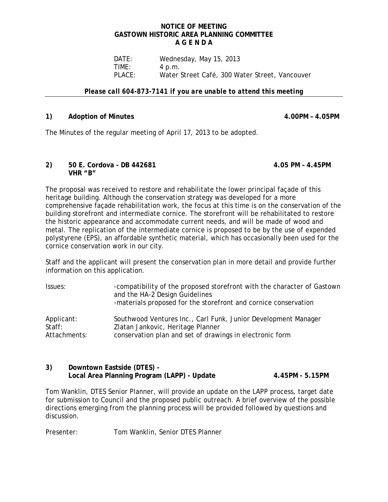## **NOTICE OF MEETING GASTOWN HISTORIC AREA PLANNING COMMITTEE A G E N D A**

DATE: Wednesday, May 15, 2013<br>TIME: 4 p.m. **TIME:** 4 p.m.<br>PLACE: Water! Water Street Café, 300 Water Street, Vancouver

## *Please call 604-873-7141 if you are unable to attend this meeting*

## **1) Adoption of Minutes 4.00PM – 4.05PM**

The Minutes of the regular meeting of April 17, 2013 to be adopted.

#### **2) 50 E. Cordova - DB 442681 4.05 PM – 4.45PM VHR "B"**

The proposal was received to restore and rehabilitate the lower principal façade of this heritage building. Although the conservation strategy was developed for a more comprehensive façade rehabilitation work, the focus at this time is on the conservation of the building storefront and intermediate cornice. The storefront will be rehabilitated to restore the historic appearance and accommodate current needs, and will be made of wood and metal. The replication of the intermediate cornice is proposed to be by the use of expended polystyrene (EPS), an affordable synthetic material, which has occasionally been used for the cornice conservation work in our city.

Staff and the applicant will present the conservation plan in more detail and provide further information on this application.

| Issues:              | -compatibility of the proposed storefront with the character of Gastown<br>and the HA-2 Design Guidelines<br>-materials proposed for the storefront and cornice conservation |
|----------------------|------------------------------------------------------------------------------------------------------------------------------------------------------------------------------|
| Applicant:<br>Staff: | Southwood Ventures Inc., Carl Funk, Junior Development Manager<br>Zlatan Jankovic, Heritage Planner                                                                          |
| Attachments:         | conservation plan and set of drawings in electronic form                                                                                                                     |

# **3) Downtown Eastside (DTES) - Local Area Planning Program (LAPP) - Update 4.45PM - 5.15PM**

Tom Wanklin, DTES Senior Planner, will provide an update on the LAPP process, target date for submission to Council and the proposed public outreach. A brief overview of the possible directions emerging from the planning process will be provided followed by questions and discussion.

Presenter: Tom Wanklin, Senior DTES Planner